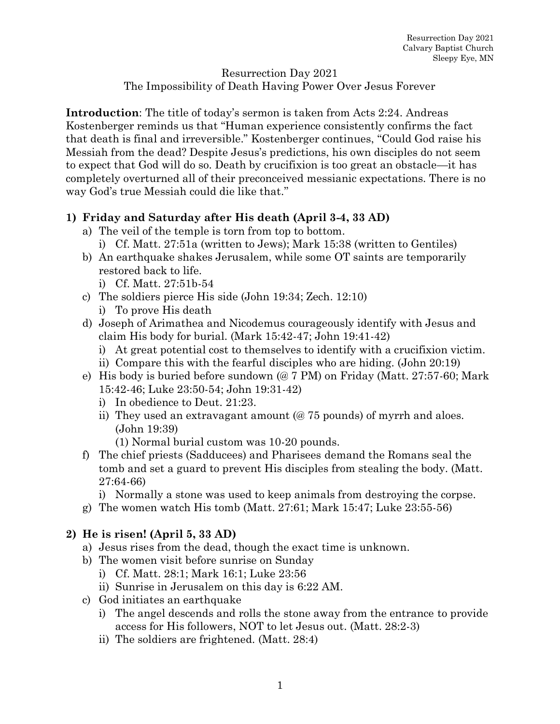#### Resurrection Day 2021

The Impossibility of Death Having Power Over Jesus Forever

**Introduction**: The title of today's sermon is taken from Acts 2:24. Andreas Kostenberger reminds us that "Human experience consistently confirms the fact that death is final and irreversible." Kostenberger continues, "Could God raise his Messiah from the dead? Despite Jesus's predictions, his own disciples do not seem to expect that God will do so. Death by crucifixion is too great an obstacle—it has completely overturned all of their preconceived messianic expectations. There is no way God's true Messiah could die like that."

### **1) Friday and Saturday after His death (April 3-4, 33 AD)**

- a) The veil of the temple is torn from top to bottom.
	- i) Cf. Matt. 27:51a (written to Jews); Mark 15:38 (written to Gentiles)
- b) An earthquake shakes Jerusalem, while some OT saints are temporarily restored back to life.

i) Cf. Matt. 27:51b-54

- c) The soldiers pierce His side (John 19:34; Zech. 12:10)
	- i) To prove His death
- d) Joseph of Arimathea and Nicodemus courageously identify with Jesus and claim His body for burial. (Mark 15:42-47; John 19:41-42)
	- i) At great potential cost to themselves to identify with a crucifixion victim.
	- ii) Compare this with the fearful disciples who are hiding. (John 20:19)
- e) His body is buried before sundown (@ 7 PM) on Friday (Matt. 27:57-60; Mark 15:42-46; Luke 23:50-54; John 19:31-42)
	- i) In obedience to Deut. 21:23.
	- ii) They used an extravagant amount (@ 75 pounds) of myrrh and aloes. (John 19:39)
		- (1) Normal burial custom was 10-20 pounds.
- f) The chief priests (Sadducees) and Pharisees demand the Romans seal the tomb and set a guard to prevent His disciples from stealing the body. (Matt. 27:64-66)

i) Normally a stone was used to keep animals from destroying the corpse.

g) The women watch His tomb (Matt. 27:61; Mark 15:47; Luke 23:55-56)

#### **2) He is risen! (April 5, 33 AD)**

- a) Jesus rises from the dead, though the exact time is unknown.
- b) The women visit before sunrise on Sunday
	- i) Cf. Matt. 28:1; Mark 16:1; Luke 23:56
	- ii) Sunrise in Jerusalem on this day is 6:22 AM.
- c) God initiates an earthquake
	- i) The angel descends and rolls the stone away from the entrance to provide access for His followers, NOT to let Jesus out. (Matt. 28:2-3)
	- ii) The soldiers are frightened. (Matt. 28:4)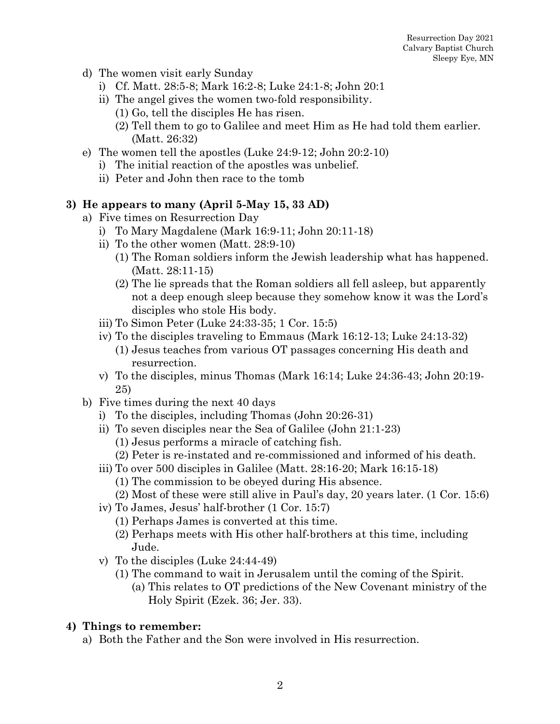- d) The women visit early Sunday
	- i) Cf. Matt. 28:5-8; Mark 16:2-8; Luke 24:1-8; John 20:1
	- ii) The angel gives the women two-fold responsibility.
		- (1) Go, tell the disciples He has risen.
		- (2) Tell them to go to Galilee and meet Him as He had told them earlier. (Matt. 26:32)
- e) The women tell the apostles (Luke 24:9-12; John 20:2-10)
	- i) The initial reaction of the apostles was unbelief.
	- ii) Peter and John then race to the tomb

## **3) He appears to many (April 5-May 15, 33 AD)**

- a) Five times on Resurrection Day
	- i) To Mary Magdalene (Mark 16:9-11; John 20:11-18)
	- ii) To the other women (Matt. 28:9-10)
		- (1) The Roman soldiers inform the Jewish leadership what has happened. (Matt. 28:11-15)
		- (2) The lie spreads that the Roman soldiers all fell asleep, but apparently not a deep enough sleep because they somehow know it was the Lord's disciples who stole His body.
	- iii) To Simon Peter (Luke 24:33-35; 1 Cor. 15:5)
	- iv) To the disciples traveling to Emmaus (Mark 16:12-13; Luke 24:13-32) (1) Jesus teaches from various OT passages concerning His death and resurrection.
	- v) To the disciples, minus Thomas (Mark 16:14; Luke 24:36-43; John 20:19- 25)
- b) Five times during the next 40 days
	- i) To the disciples, including Thomas (John 20:26-31)
	- ii) To seven disciples near the Sea of Galilee (John 21:1-23)
		- (1) Jesus performs a miracle of catching fish.
		- (2) Peter is re-instated and re-commissioned and informed of his death.
	- iii) To over 500 disciples in Galilee (Matt. 28:16-20; Mark 16:15-18)
		- (1) The commission to be obeyed during His absence.
		- (2) Most of these were still alive in Paul's day, 20 years later. (1 Cor. 15:6)
	- iv) To James, Jesus' half-brother (1 Cor. 15:7)
		- (1) Perhaps James is converted at this time.
		- (2) Perhaps meets with His other half-brothers at this time, including Jude.
	- v) To the disciples (Luke 24:44-49)
		- (1) The command to wait in Jerusalem until the coming of the Spirit.
			- (a) This relates to OT predictions of the New Covenant ministry of the Holy Spirit (Ezek. 36; Jer. 33).

# **4) Things to remember:**

a) Both the Father and the Son were involved in His resurrection.